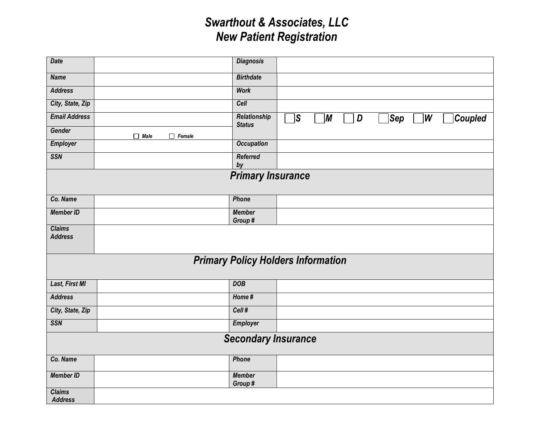## *Swarthout & Associates, LLC New Patient Registration*

| Date                                      |                              | <b>Diagnosis</b>              |                                                                                  |  |  |  |  |
|-------------------------------------------|------------------------------|-------------------------------|----------------------------------------------------------------------------------|--|--|--|--|
| <b>Name</b>                               |                              | <b>Birthdate</b>              |                                                                                  |  |  |  |  |
| <b>Address</b>                            |                              | <b>Work</b>                   |                                                                                  |  |  |  |  |
| City, State, Zip                          |                              | Cell                          |                                                                                  |  |  |  |  |
| <b>Email Address</b>                      |                              | Relationship<br><b>Status</b> | $\vert S \vert$<br>$\vert$ W<br>$ \mathcal{S}\bm{e}\bm{p} $<br>Coupled<br>M<br>D |  |  |  |  |
| Gender                                    | $\Box$ Male<br>$\Box$ Female |                               |                                                                                  |  |  |  |  |
| Employer                                  |                              | <b>Occupation</b>             |                                                                                  |  |  |  |  |
| <b>SSN</b>                                |                              | <b>Referred</b><br>by         |                                                                                  |  |  |  |  |
| <b>Primary Insurance</b>                  |                              |                               |                                                                                  |  |  |  |  |
|                                           |                              |                               |                                                                                  |  |  |  |  |
| Co. Name                                  |                              | Phone                         |                                                                                  |  |  |  |  |
| <b>Member ID</b>                          |                              | <b>Member</b><br>Group#       |                                                                                  |  |  |  |  |
| <b>Claims</b><br><b>Address</b>           |                              |                               |                                                                                  |  |  |  |  |
| <b>Primary Policy Holders Information</b> |                              |                               |                                                                                  |  |  |  |  |
| <b>Last, First MI</b>                     |                              | <b>DOB</b>                    |                                                                                  |  |  |  |  |
| <b>Address</b>                            |                              | Home#                         |                                                                                  |  |  |  |  |
| City, State, Zip                          |                              | Cell#                         |                                                                                  |  |  |  |  |
| <b>SSN</b>                                |                              | <b>Employer</b>               |                                                                                  |  |  |  |  |
| <b>Secondary Insurance</b>                |                              |                               |                                                                                  |  |  |  |  |
| Co. Name                                  |                              | Phone                         |                                                                                  |  |  |  |  |
| <b>Member ID</b>                          |                              | <b>Member</b><br>Group#       |                                                                                  |  |  |  |  |
| <b>Claims</b><br><b>Address</b>           |                              |                               |                                                                                  |  |  |  |  |